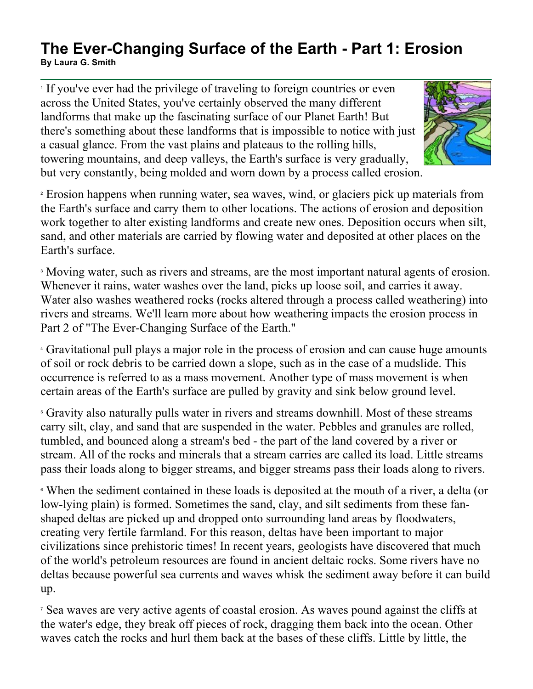## **The Ever-Changing Surface of the Earth - Part 1: Erosion By Laura G. Smith**

<sup>1</sup> If you've ever had the privilege of traveling to foreign countries or even across the United States, you've certainly observed the many different landforms that make up the fascinating surface of our Planet Earth! But there's something about these landforms that is impossible to notice with just a casual glance. From the vast plains and plateaus to the rolling hills, towering mountains, and deep valleys, the Earth's surface is very gradually, but very constantly, being molded and worn down by a process called erosion.



<sup>2</sup> Erosion happens when running water, sea waves, wind, or glaciers pick up materials from the Earth's surface and carry them to other locations. The actions of erosion and deposition work together to alter existing landforms and create new ones. Deposition occurs when silt, sand, and other materials are carried by flowing water and deposited at other places on the Earth's surface.

<sup>3</sup> Moving water, such as rivers and streams, are the most important natural agents of erosion. Whenever it rains, water washes over the land, picks up loose soil, and carries it away. Water also washes weathered rocks (rocks altered through a process called weathering) into rivers and streams. We'll learn more about how weathering impacts the erosion process in Part 2 of "The Ever-Changing Surface of the Earth."

<sup>4</sup> Gravitational pull plays a major role in the process of erosion and can cause huge amounts of soil or rock debris to be carried down a slope, such as in the case of a mudslide. This occurrence is referred to as a mass movement. Another type of mass movement is when certain areas of the Earth's surface are pulled by gravity and sink below ground level.

<sup>5</sup> Gravity also naturally pulls water in rivers and streams downhill. Most of these streams carry silt, clay, and sand that are suspended in the water. Pebbles and granules are rolled, tumbled, and bounced along a stream's bed - the part of the land covered by a river or stream. All of the rocks and minerals that a stream carries are called its load. Little streams pass their loads along to bigger streams, and bigger streams pass their loads along to rivers.

<sup>6</sup> When the sediment contained in these loads is deposited at the mouth of a river, a delta (or low-lying plain) is formed. Sometimes the sand, clay, and silt sediments from these fanshaped deltas are picked up and dropped onto surrounding land areas by floodwaters, creating very fertile farmland. For this reason, deltas have been important to major civilizations since prehistoric times! In recent years, geologists have discovered that much of the world's petroleum resources are found in ancient deltaic rocks. Some rivers have no deltas because powerful sea currents and waves whisk the sediment away before it can build up.

<sup>7</sup> Sea waves are very active agents of coastal erosion. As waves pound against the cliffs at the water's edge, they break off pieces of rock, dragging them back into the ocean. Other waves catch the rocks and hurl them back at the bases of these cliffs. Little by little, the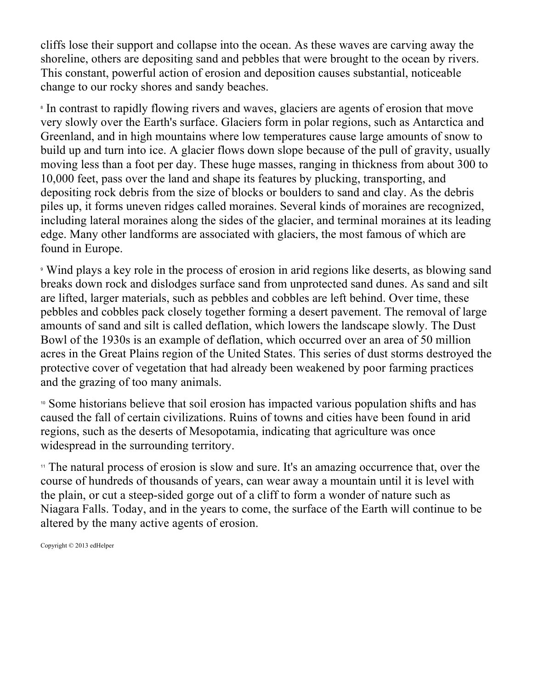cliffs lose their support and collapse into the ocean. As these waves are carving away the shoreline, others are depositing sand and pebbles that were brought to the ocean by rivers. This constant, powerful action of erosion and deposition causes substantial, noticeable change to our rocky shores and sandy beaches.

<sup>8</sup> In contrast to rapidly flowing rivers and waves, glaciers are agents of erosion that move very slowly over the Earth's surface. Glaciers form in polar regions, such as Antarctica and Greenland, and in high mountains where low temperatures cause large amounts of snow to build up and turn into ice. A glacier flows down slope because of the pull of gravity, usually moving less than a foot per day. These huge masses, ranging in thickness from about 300 to 10,000 feet, pass over the land and shape its features by plucking, transporting, and depositing rock debris from the size of blocks or boulders to sand and clay. As the debris piles up, it forms uneven ridges called moraines. Several kinds of moraines are recognized, including lateral moraines along the sides of the glacier, and terminal moraines at its leading edge. Many other landforms are associated with glaciers, the most famous of which are found in Europe.

<sup>9</sup> Wind plays a key role in the process of erosion in arid regions like deserts, as blowing sand breaks down rock and dislodges surface sand from unprotected sand dunes. As sand and silt are lifted, larger materials, such as pebbles and cobbles are left behind. Over time, these pebbles and cobbles pack closely together forming a desert pavement. The removal of large amounts of sand and silt is called deflation, which lowers the landscape slowly. The Dust Bowl of the 1930s is an example of deflation, which occurred over an area of 50 million acres in the Great Plains region of the United States. This series of dust storms destroyed the protective cover of vegetation that had already been weakened by poor farming practices and the grazing of too many animals.

<sup>10</sup> Some historians believe that soil erosion has impacted various population shifts and has caused the fall of certain civilizations. Ruins of towns and cities have been found in arid regions, such as the deserts of Mesopotamia, indicating that agriculture was once widespread in the surrounding territory.

<sup>11</sup> The natural process of erosion is slow and sure. It's an amazing occurrence that, over the course of hundreds of thousands of years, can wear away a mountain until it is level with the plain, or cut a steep-sided gorge out of a cliff to form a wonder of nature such as Niagara Falls. Today, and in the years to come, the surface of the Earth will continue to be altered by the many active agents of erosion.

Copyright © 2013 edHelper